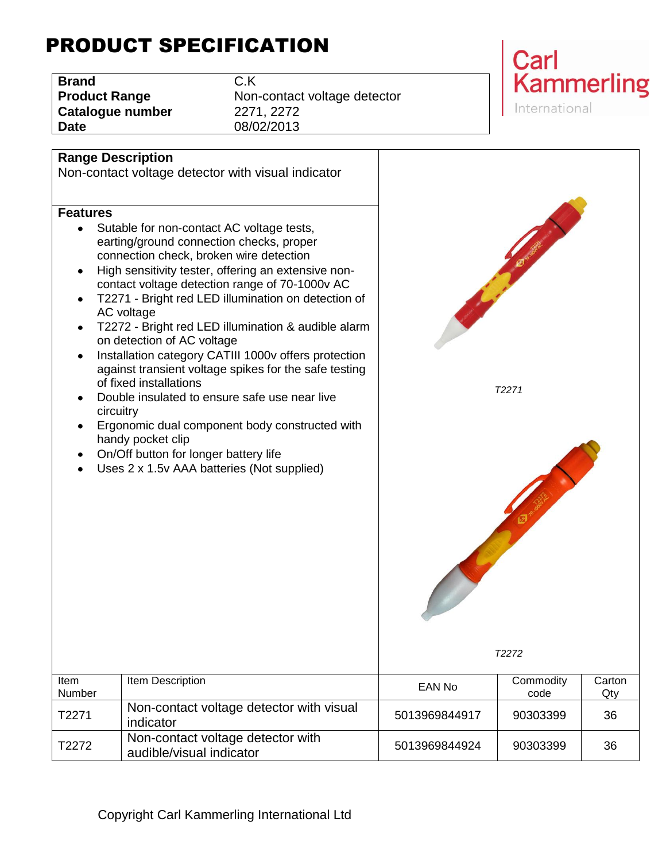# PRODUCT SPECIFICATION

| <b>Brand</b>         | C.K |
|----------------------|-----|
| <b>Product Range</b> | Nor |
| Catalogue number     | 227 |
| <b>Date</b>          | 08/ |

**Non-contact voltage detector Catalogue number** 2271, 2272 **Date** 08/02/2013



#### **Range Description**

#### **Features**

- Sutable for non-contact AC voltage tests earting/ground connection checks, prop connection check, broken wire detection
- $\bullet$  High sensitivity tester, offering an exten contact voltage detection range of 70-10
- T2271 Bright red LED illumination on AC voltage
- T2272 Bright red LED illumination & audible on detection of AC voltage
- Installation category CATIII 1000v offers against transient voltage spikes for the of fixed installations
- Double insulated to ensure safe use near circuitry
- Ergonomic dual component body constr handy pocket clip
- On/Off button for longer battery life

audible/visual indicator

|                 | <b>Range Description</b><br>Non-contact voltage detector with visual indicator                                                                                                                                                                                                                                                                                                                                                                                                                                                                                                                                                                                                                                                                                             |               |                   |               |
|-----------------|----------------------------------------------------------------------------------------------------------------------------------------------------------------------------------------------------------------------------------------------------------------------------------------------------------------------------------------------------------------------------------------------------------------------------------------------------------------------------------------------------------------------------------------------------------------------------------------------------------------------------------------------------------------------------------------------------------------------------------------------------------------------------|---------------|-------------------|---------------|
| <b>Features</b> | Sutable for non-contact AC voltage tests,<br>earting/ground connection checks, proper<br>connection check, broken wire detection<br>High sensitivity tester, offering an extensive non-<br>contact voltage detection range of 70-1000v AC<br>T2271 - Bright red LED illumination on detection of<br>AC voltage<br>T2272 - Bright red LED illumination & audible alarm<br>on detection of AC voltage<br>Installation category CATIII 1000v offers protection<br>against transient voltage spikes for the safe testing<br>of fixed installations<br>Double insulated to ensure safe use near live<br>circuitry<br>Ergonomic dual component body constructed with<br>handy pocket clip<br>On/Off button for longer battery life<br>Uses 2 x 1.5v AAA batteries (Not supplied) |               | T2271<br>T2272    |               |
| Item<br>Number  | Item Description                                                                                                                                                                                                                                                                                                                                                                                                                                                                                                                                                                                                                                                                                                                                                           | <b>EAN No</b> | Commodity<br>code | Carton<br>Qty |
| T2271           | Non-contact voltage detector with visual<br>indicator                                                                                                                                                                                                                                                                                                                                                                                                                                                                                                                                                                                                                                                                                                                      | 5013969844917 | 90303399          | 36            |
| T2272           | Non-contact voltage detector with                                                                                                                                                                                                                                                                                                                                                                                                                                                                                                                                                                                                                                                                                                                                          | 5013969844924 | 90303399          | 36            |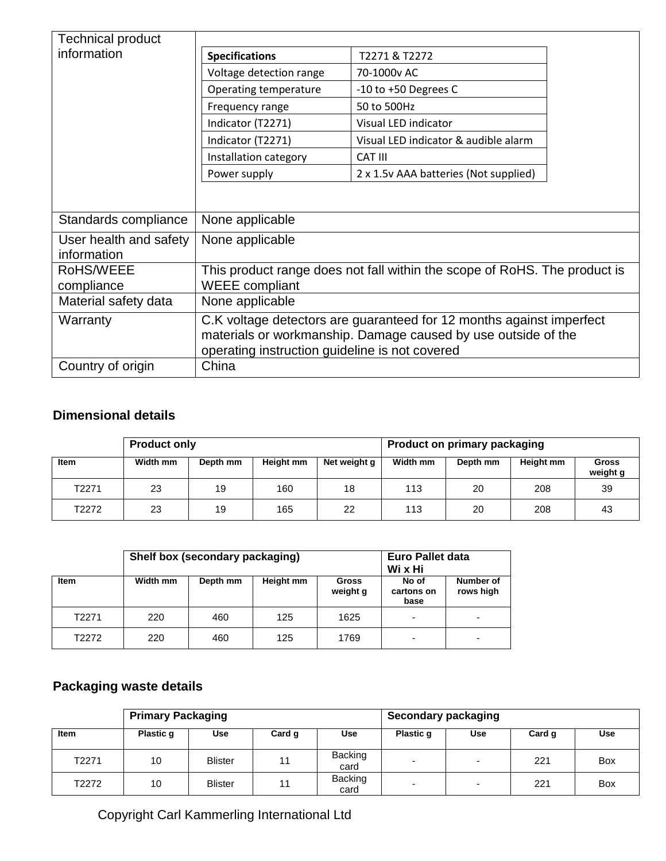| <b>Technical product</b>              |                                                                                                                                                                                         |                                        |  |  |  |  |
|---------------------------------------|-----------------------------------------------------------------------------------------------------------------------------------------------------------------------------------------|----------------------------------------|--|--|--|--|
| information                           | <b>Specifications</b>                                                                                                                                                                   | T2271 & T2272                          |  |  |  |  |
|                                       | Voltage detection range                                                                                                                                                                 | 70-1000y AC                            |  |  |  |  |
|                                       | Operating temperature                                                                                                                                                                   | $-10$ to $+50$ Degrees C               |  |  |  |  |
|                                       | Frequency range                                                                                                                                                                         | 50 to 500Hz                            |  |  |  |  |
|                                       | Indicator (T2271)                                                                                                                                                                       | Visual LED indicator                   |  |  |  |  |
|                                       | Indicator (T2271)                                                                                                                                                                       | Visual LED indicator & audible alarm   |  |  |  |  |
|                                       | Installation category                                                                                                                                                                   | CAT III                                |  |  |  |  |
|                                       | Power supply                                                                                                                                                                            | 2 x 1.5 v AAA batteries (Not supplied) |  |  |  |  |
|                                       |                                                                                                                                                                                         |                                        |  |  |  |  |
|                                       |                                                                                                                                                                                         |                                        |  |  |  |  |
| Standards compliance                  | None applicable                                                                                                                                                                         |                                        |  |  |  |  |
| User health and safety<br>information | None applicable                                                                                                                                                                         |                                        |  |  |  |  |
| RoHS/WEEE                             | This product range does not fall within the scope of RoHS. The product is                                                                                                               |                                        |  |  |  |  |
| compliance                            | <b>WEEE</b> compliant                                                                                                                                                                   |                                        |  |  |  |  |
| Material safety data                  | None applicable                                                                                                                                                                         |                                        |  |  |  |  |
| Warranty                              | C.K voltage detectors are guaranteed for 12 months against imperfect<br>materials or workmanship. Damage caused by use outside of the<br>operating instruction guideline is not covered |                                        |  |  |  |  |
| Country of origin                     | China                                                                                                                                                                                   |                                        |  |  |  |  |

### **Dimensional details**

|       | <b>Product only</b> |          |           |              | <b>Product on primary packaging</b> |          |           |                   |
|-------|---------------------|----------|-----------|--------------|-------------------------------------|----------|-----------|-------------------|
| Item  | Width mm            | Depth mm | Height mm | Net weight g | Width mm                            | Depth mm | Height mm | Gross<br>weight g |
| T2271 | 23                  | 19       | 160       | 18           | 113                                 | 20       | 208       | 39                |
| T2272 | 23                  | 19       | 165       | 22           | 113                                 | 20       | 208       | 43                |

| Shelf box (secondary packaging) |          |          |           |                          | <b>Euro Pallet data</b><br>Wi x Hi |                        |  |
|---------------------------------|----------|----------|-----------|--------------------------|------------------------------------|------------------------|--|
| Item                            | Width mm | Depth mm | Height mm | <b>Gross</b><br>weight g | No of<br>cartons on<br>base        | Number of<br>rows high |  |
| T2271                           | 220      | 460      | 125       | 1625                     | -                                  |                        |  |
| T2272                           | 220      | 460      | 125       | 1769                     | -                                  |                        |  |

## **Packaging waste details**

|       | <b>Primary Packaging</b> |                |        |                        | Secondary packaging |                          |        |            |
|-------|--------------------------|----------------|--------|------------------------|---------------------|--------------------------|--------|------------|
| Item  | Plastic q                | Use            | Card g | <b>Use</b>             | Plastic g           | Use                      | Card q | <b>Use</b> |
| T2271 | 10                       | <b>Blister</b> | 11     | <b>Backing</b><br>card | -                   | $\overline{\phantom{0}}$ | 221    | Box        |
| T2272 | 10                       | <b>Blister</b> | 11     | <b>Backing</b><br>card | -                   | $\overline{\phantom{0}}$ | 221    | Box        |

Copyright Carl Kammerling International Ltd